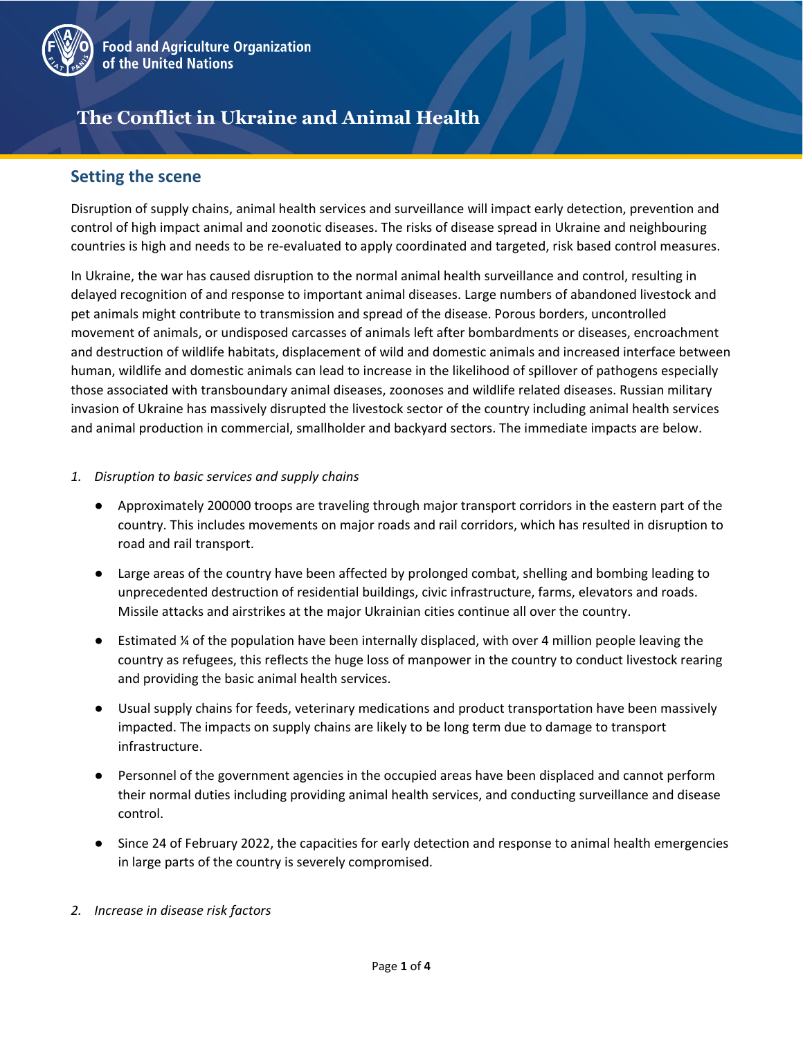

# **The Conflict in Ukraine and Animal Health**

### **Setting the scene**

Disruption of supply chains, animal health services and surveillance will impact early detection, prevention and control of high impact animal and zoonotic diseases. The risks of disease spread in Ukraine and neighbouring countries is high and needs to be re-evaluated to apply coordinated and targeted, risk based control measures.

In Ukraine, the war has caused disruption to the normal animal health surveillance and control, resulting in delayed recognition of and response to important animal diseases. Large numbers of abandoned livestock and pet animals might contribute to transmission and spread of the disease. Porous borders, uncontrolled movement of animals, or undisposed carcasses of animals left after bombardments or diseases, encroachment and destruction of wildlife habitats, displacement of wild and domestic animals and increased interface between human, wildlife and domestic animals can lead to increase in the likelihood of spillover of pathogens especially those associated with transboundary animal diseases, zoonoses and wildlife related diseases. Russian military invasion of Ukraine has massively disrupted the livestock sector of the country including animal health services and animal production in commercial, smallholder and backyard sectors. The immediate impacts are below.

- *1. Disruption to basic services and supply chains* 
	- Approximately 200000 troops are traveling through major transport corridors in the eastern part of the country. This includes movements on major roads and rail corridors, which has resulted in disruption to road and rail transport.
	- Large areas of the country have been affected by prolonged combat, shelling and bombing leading to unprecedented destruction of residential buildings, civic infrastructure, farms, elevators and roads. Missile attacks and airstrikes at the major Ukrainian cities continue all over the country.
	- Estimated  $\frac{1}{4}$  of the population have been internally displaced, with over 4 million people leaving the country as refugees, this reflects the huge loss of manpower in the country to conduct livestock rearing and providing the basic animal health services.
	- Usual supply chains for feeds, veterinary medications and product transportation have been massively impacted. The impacts on supply chains are likely to be long term due to damage to transport infrastructure.
	- Personnel of the government agencies in the occupied areas have been displaced and cannot perform their normal duties including providing animal health services, and conducting surveillance and disease control.
	- Since 24 of February 2022, the capacities for early detection and response to animal health emergencies in large parts of the country is severely compromised.
- *2. Increase in disease risk factors*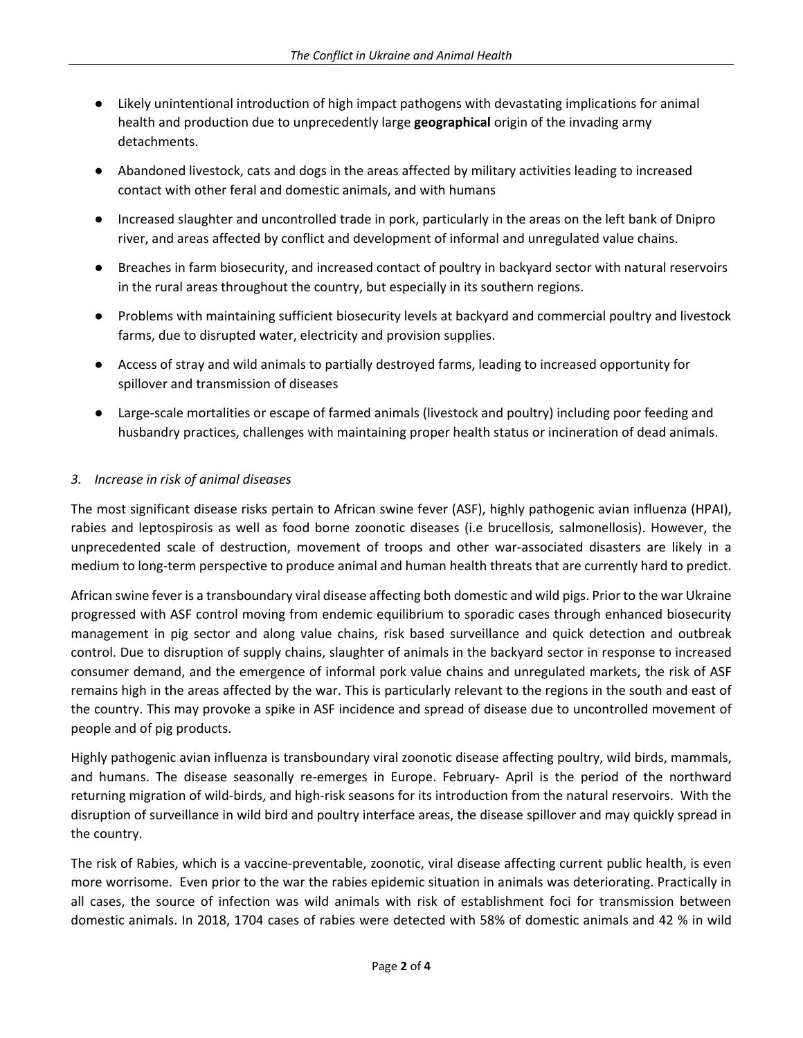- Likely unintentional introduction of high impact pathogens with devastating implications for animal health and production due to unprecedently large **geographical** origin of the invading army detachments.
- Abandoned livestock, cats and dogs in the areas affected by military activities leading to increased contact with other feral and domestic animals, and with humans
- Increased slaughter and uncontrolled trade in pork, particularly in the areas on the left bank of Dnipro river, and areas affected by conflict and development of informal and unregulated value chains.
- Breaches in farm biosecurity, and increased contact of poultry in backyard sector with natural reservoirs in the rural areas throughout the country, but especially in its southern regions.
- Problems with maintaining sufficient biosecurity levels at backyard and commercial poultry and livestock farms, due to disrupted water, electricity and provision supplies.
- Access of stray and wild animals to partially destroyed farms, leading to increased opportunity for spillover and transmission of diseases
- Large-scale mortalities or escape of farmed animals (livestock and poultry) including poor feeding and husbandry practices, challenges with maintaining proper health status or incineration of dead animals.

#### *3. Increase in risk of animal diseases*

The most significant disease risks pertain to African swine fever (ASF), highly pathogenic avian influenza (HPAI), rabies and leptospirosis as well as food borne zoonotic diseases (i.e brucellosis, salmonellosis). However, the unprecedented scale of destruction, movement of troops and other war-associated disasters are likely in a medium to long-term perspective to produce animal and human health threats that are currently hard to predict.

African swine fever is a transboundary viral disease affecting both domestic and wild pigs. Prior to the war Ukraine progressed with ASF control moving from endemic equilibrium to sporadic cases through enhanced biosecurity management in pig sector and along value chains, risk based surveillance and quick detection and outbreak control. Due to disruption of supply chains, slaughter of animals in the backyard sector in response to increased consumer demand, and the emergence of informal pork value chains and unregulated markets, the risk of ASF remains high in the areas affected by the war. This is particularly relevant to the regions in the south and east of the country. This may provoke a spike in ASF incidence and spread of disease due to uncontrolled movement of people and of pig products.

Highly pathogenic avian influenza is transboundary viral zoonotic disease affecting poultry, wild birds, mammals, and humans. The disease seasonally re-emerges in Europe. February- April is the period of the northward returning migration of wild-birds, and high-risk seasons for its introduction from the natural reservoirs. With the disruption of surveillance in wild bird and poultry interface areas, the disease spillover and may quickly spread in the country.

The risk of Rabies, which is a vaccine-preventable, zoonotic, viral disease affecting current public health, is even more worrisome. Even prior to the war the rabies epidemic situation in animals was deteriorating. Practically in all cases, the source of infection was wild animals with risk of establishment foci for transmission between domestic animals. In 2018, 1704 cases of rabies were detected with 58% of domestic animals and 42 % in wild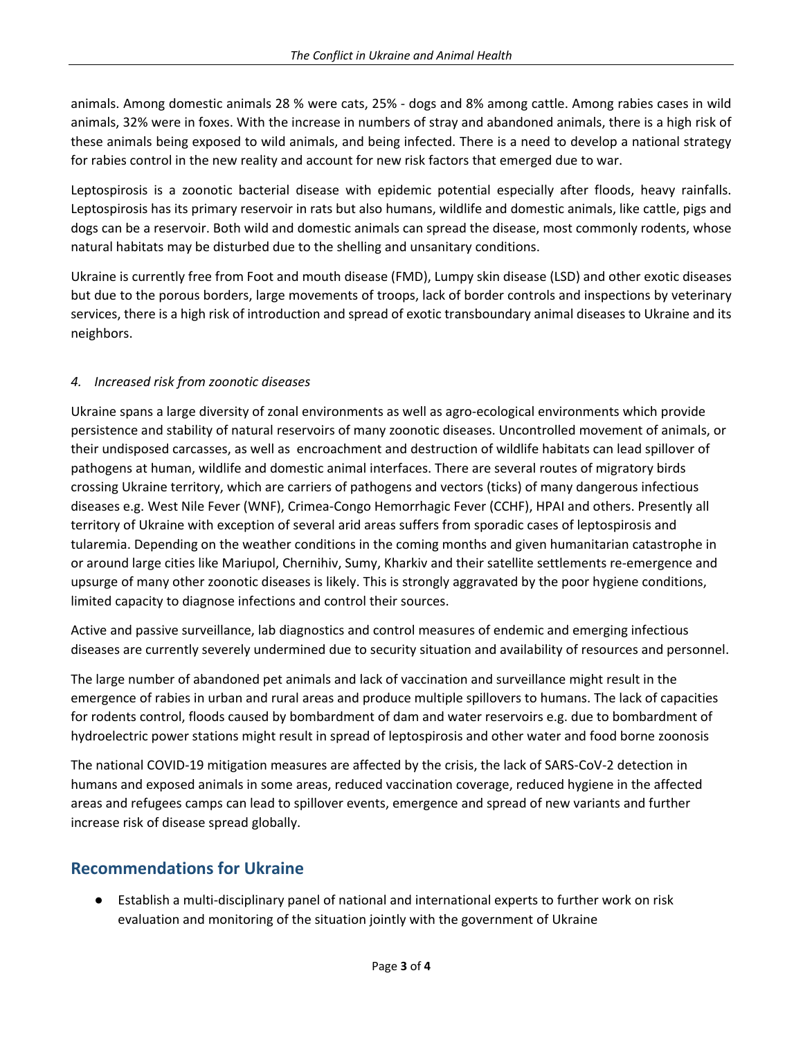animals. Among domestic animals 28 % were cats, 25% - dogs and 8% among cattle. Among rabies cases in wild animals, 32% were in foxes. With the increase in numbers of stray and abandoned animals, there is a high risk of these animals being exposed to wild animals, and being infected. There is a need to develop a national strategy for rabies control in the new reality and account for new risk factors that emerged due to war.

Leptospirosis is a zoonotic bacterial disease with epidemic potential especially after floods, heavy rainfalls. Leptospirosis has its primary reservoir in rats but also humans, wildlife and domestic animals, like cattle, pigs and dogs can be a reservoir. Both wild and domestic animals can spread the disease, most commonly rodents, whose natural habitats may be disturbed due to the shelling and unsanitary conditions.

Ukraine is currently free from Foot and mouth disease (FMD), Lumpy skin disease (LSD) and other exotic diseases but due to the porous borders, large movements of troops, lack of border controls and inspections by veterinary services, there is a high risk of introduction and spread of exotic transboundary animal diseases to Ukraine and its neighbors.

#### *4. Increased risk from zoonotic diseases*

Ukraine spans a large diversity of zonal environments as well as agro-ecological environments which provide persistence and stability of natural reservoirs of many zoonotic diseases. Uncontrolled movement of animals, or their undisposed carcasses, as well as encroachment and destruction of wildlife habitats can lead spillover of pathogens at human, wildlife and domestic animal interfaces. There are several routes of migratory birds crossing Ukraine territory, which are carriers of pathogens and vectors (ticks) of many dangerous infectious diseases e.g. West Nile Fever (WNF), Crimea-Congo Hemorrhagic Fever (CCHF), HPAI and others. Presently all territory of Ukraine with exception of several arid areas suffers from sporadic cases of leptospirosis and tularemia. Depending on the weather conditions in the coming months and given humanitarian catastrophe in or around large cities like Mariupol, Chernihiv, Sumy, Kharkiv and their satellite settlements re-emergence and upsurge of many other zoonotic diseases is likely. This is strongly aggravated by the poor hygiene conditions, limited capacity to diagnose infections and control their sources.

Active and passive surveillance, lab diagnostics and control measures of endemic and emerging infectious diseases are currently severely undermined due to security situation and availability of resources and personnel.

The large number of abandoned pet animals and lack of vaccination and surveillance might result in the emergence of rabies in urban and rural areas and produce multiple spillovers to humans. The lack of capacities for rodents control, floods caused by bombardment of dam and water reservoirs e.g. due to bombardment of hydroelectric power stations might result in spread of leptospirosis and other water and food borne zoonosis

The national COVID-19 mitigation measures are affected by the crisis, the lack of SARS-CoV-2 detection in humans and exposed animals in some areas, reduced vaccination coverage, reduced hygiene in the affected areas and refugees camps can lead to spillover events, emergence and spread of new variants and further increase risk of disease spread globally.

## **Recommendations for Ukraine**

Establish a multi-disciplinary panel of national and international experts to further work on risk evaluation and monitoring of the situation jointly with the government of Ukraine